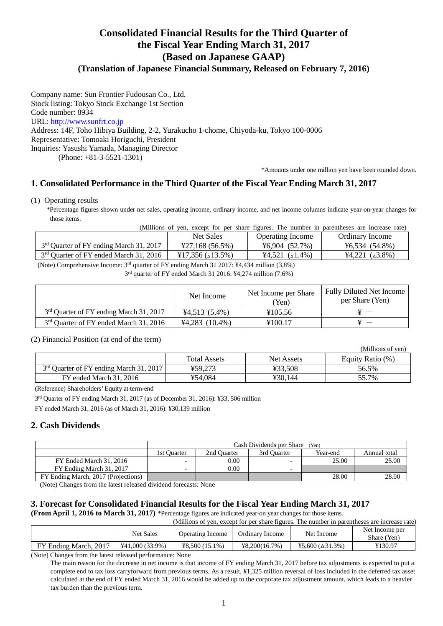# **Consolidated Financial Results for the Third Quarter of the Fiscal Year Ending March 31, 2017 (Based on Japanese GAAP)**

# **(Translation of Japanese Financial Summary, Released on February 7, 2016)**

Company name: Sun Frontier Fudousan Co., Ltd. Stock listing: Tokyo Stock Exchange 1st Section Code number: 8934 URL: http://www.sunfrt.co.jp Address: 14F, Toho Hibiya Building, 2-2, Yurakucho 1-chome, Chiyoda-ku, Tokyo 100-0006 Representative: Tomoaki Horiguchi, President Inquiries: Yasushi Yamada, Managing Director (Phone: +81-3-5521-1301)

\*Amounts under one million yen have been rounded down.

(Millions of yen)

# **1. Consolidated Performance in the Third Quarter of the Fiscal Year Ending March 31, 2017**

(1) Operating results

\*Percentage figures shown under net sales, operating income, ordinary income, and net income columns indicate year-on-year changes for those items.

(Millions of yen, except for per share figures. The number in parentheses are increase rate)

|                                                     | <b>Net Sales</b>                           | Operating Income                                        | Ordinary Income              |
|-----------------------------------------------------|--------------------------------------------|---------------------------------------------------------|------------------------------|
| 3 <sup>rd</sup> Quarter of FY ending March 31, 2017 | $\text{\textsterling}27,168\ (56.5\%)$     | $\text{\textdegree}6.904(52.7\%)$                       | $46,534(54.8\%)$             |
| 3 <sup>rd</sup> Quarter of FY ended March 31, 2016  | $\frac{1}{2}17.356$ ( $\triangle 13.5\%$ ) | $\text{\textsterling}4.521 \; (\text{\texttt{A}}1.4\%)$ | $44,221 \ (\triangle 3.8\%)$ |
|                                                     |                                            |                                                         |                              |

(Note) Comprehensive Income: 3rd quarter of FY ending March 31 2017: ¥4,434 million (3.8%)

3 rd quarter of FY ended March 31 2016: ¥4,274 million (7.6%)

|                                                     | Net Income       | Net Income per Share<br>(Yen) | Fully Diluted Net Income<br>per Share (Yen) |
|-----------------------------------------------------|------------------|-------------------------------|---------------------------------------------|
| 3 <sup>rd</sup> Quarter of FY ending March 31, 2017 | $44,513(5.4\%)$  | ¥105.56                       |                                             |
| 3 <sup>rd</sup> Quarter of FY ended March 31, 2016  | $44,283$ (10.4%) | ¥100.17                       |                                             |

#### (2) Financial Position (at end of the term)

|                                                     |                     |                   | (1.111110110011, 0.011) |
|-----------------------------------------------------|---------------------|-------------------|-------------------------|
|                                                     | <b>Total Assets</b> | <b>Net Assets</b> | Equity Ratio (%)        |
| 3 <sup>rd</sup> Quarter of FY ending March 31, 2017 | ¥59.273             | ¥33.508           | 56.5%                   |
| FY ended March 31, 2016                             | ¥54,084             | ¥30.144           | 55.7%                   |

(Reference) Shareholders' Equity at term-end

3 rd Quarter of FY ending March 31, 2017 (as of December 31, 2016): ¥33, 506 million

FY ended March 31, 2016 (as of March 31, 2016): ¥30,139 million

#### **2. Cash Dividends**

|                                     | Cash Dividends per Share (Yen) |             |             |          |              |
|-------------------------------------|--------------------------------|-------------|-------------|----------|--------------|
|                                     | 1st Ouarter                    | 2nd Ouarter | 3rd Ouarter | Year-end | Annual total |
| FY Ended March 31, 2016             | $\overline{\phantom{0}}$       | 0.00        |             | 25.00    | 25.00        |
| FY Ending March 31, 2017            | $\overline{\phantom{0}}$       | 0.00        |             |          |              |
| FY Ending March, 2017 (Projections) |                                |             |             | 28.00    | 28.00        |

(Note) Changes from the latest released dividend forecasts: None

# **3. Forecast for Consolidated Financial Results for the Fiscal Year Ending March 31, 2017**

**(From April 1, 2016 to March 31, 2017)** \*Percentage figures are indicated year-on year changes for those items.

(Millions of yen, except for per share figures. The number in parentheses are increase rate)

|                       | <b>Net Sales</b>  | Operating Income | Ordinary Income | Net Income                  | Net Income per<br>Share (Yen) |
|-----------------------|-------------------|------------------|-----------------|-----------------------------|-------------------------------|
| FY Ending March, 2017 | $441,000(33.9\%)$ | $48.500(15.1\%)$ | 48,200(16,7%)   | $45,600 (\triangle 31.3\%)$ | ¥130.97                       |

(Note) Changes from the latest released performance: None

The main reason for the decrease in net income is that income of FY ending March 31, 2017 before tax adjustments is expected to put a complete end to tax loss carryforward from previous terms. As a result, ¥1,325 million reversal of loss included in the deferred tax asset calculated at the end of FY ended March 31, 2016 would be added up to the corporate tax adjustment amount, which leads to a heavier tax burden than the previous term.